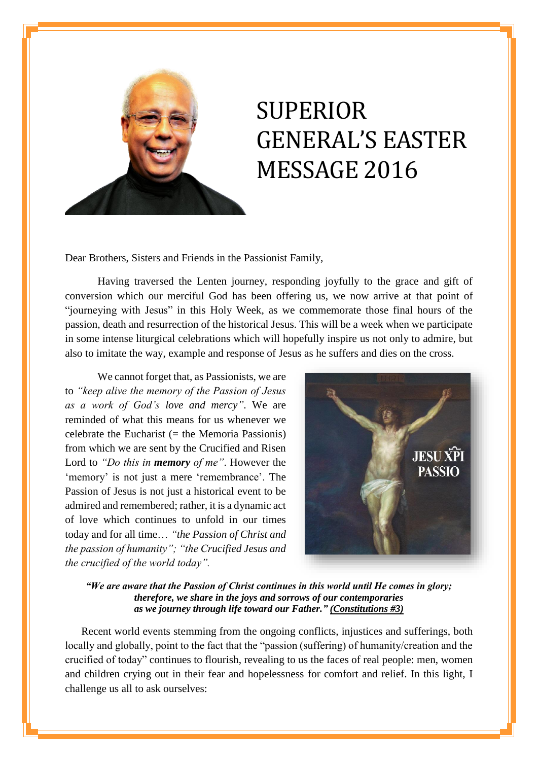

## SUPERIOR GENERAL'S EASTER MESSAGE 2016

Dear Brothers, Sisters and Friends in the Passionist Family,

Having traversed the Lenten journey, responding joyfully to the grace and gift of conversion which our merciful God has been offering us, we now arrive at that point of "journeying with Jesus" in this Holy Week, as we commemorate those final hours of the passion, death and resurrection of the historical Jesus. This will be a week when we participate in some intense liturgical celebrations which will hopefully inspire us not only to admire, but also to imitate the way, example and response of Jesus as he suffers and dies on the cross.

We cannot forget that, as Passionists, we are to *"keep alive the memory of the Passion of Jesus as a work of God's love and mercy"*. We are reminded of what this means for us whenever we celebrate the Eucharist  $(=$  the Memoria Passionis) from which we are sent by the Crucified and Risen Lord to *"Do this in memory of me"*. However the 'memory' is not just a mere 'remembrance'. The Passion of Jesus is not just a historical event to be admired and remembered; rather, it is a dynamic act of love which continues to unfold in our times today and for all time… *"the Passion of Christ and the passion of humanity"; "the Crucified Jesus and the crucified of the world today".*



*"We are aware that the Passion of Christ continues in this world until He comes in glory; therefore, we share in the joys and sorrows of our contemporaries as we journey through life toward our Father." (Constitutions #3)*

Recent world events stemming from the ongoing conflicts, injustices and sufferings, both locally and globally, point to the fact that the "passion (suffering) of humanity/creation and the crucified of today" continues to flourish, revealing to us the faces of real people: men, women and children crying out in their fear and hopelessness for comfort and relief. In this light, I challenge us all to ask ourselves: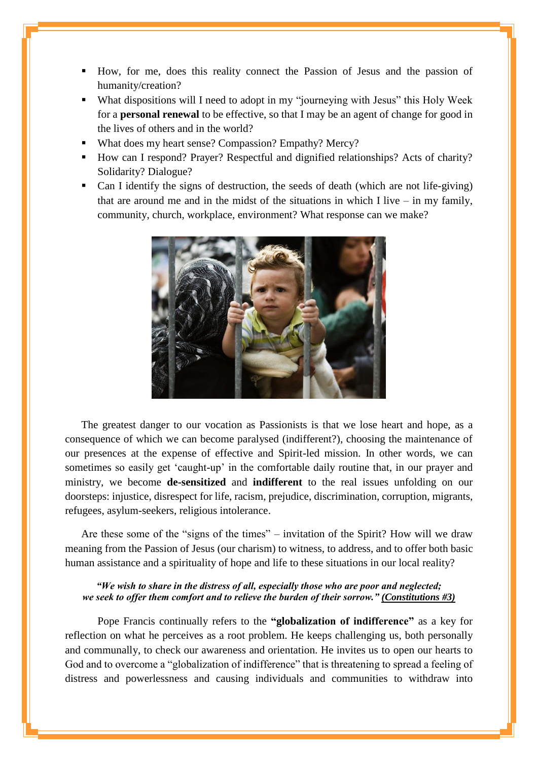- How, for me, does this reality connect the Passion of Jesus and the passion of humanity/creation?
- What dispositions will I need to adopt in my "journeying with Jesus" this Holy Week for a **personal renewal** to be effective, so that I may be an agent of change for good in the lives of others and in the world?
- What does my heart sense? Compassion? Empathy? Mercy?
- How can I respond? Prayer? Respectful and dignified relationships? Acts of charity? Solidarity? Dialogue?
- Can I identify the signs of destruction, the seeds of death (which are not life-giving) that are around me and in the midst of the situations in which I live  $-$  in my family, community, church, workplace, environment? What response can we make?



The greatest danger to our vocation as Passionists is that we lose heart and hope, as a consequence of which we can become paralysed (indifferent?), choosing the maintenance of our presences at the expense of effective and Spirit-led mission. In other words, we can sometimes so easily get 'caught-up' in the comfortable daily routine that, in our prayer and ministry, we become **de-sensitized** and **indifferent** to the real issues unfolding on our doorsteps: injustice, disrespect for life, racism, prejudice, discrimination, corruption, migrants, refugees, asylum-seekers, religious intolerance.

Are these some of the "signs of the times" – invitation of the Spirit? How will we draw meaning from the Passion of Jesus (our charism) to witness, to address, and to offer both basic human assistance and a spirituality of hope and life to these situations in our local reality?

## *"We wish to share in the distress of all, especially those who are poor and neglected; we seek to offer them comfort and to relieve the burden of their sorrow." (Constitutions #3)*

Pope Francis continually refers to the **"globalization of indifference"** as a key for reflection on what he perceives as a root problem. He keeps challenging us, both personally and communally, to check our awareness and orientation. He invites us to open our hearts to God and to overcome a "globalization of indifference" that is threatening to spread a feeling of distress and powerlessness and causing individuals and communities to withdraw into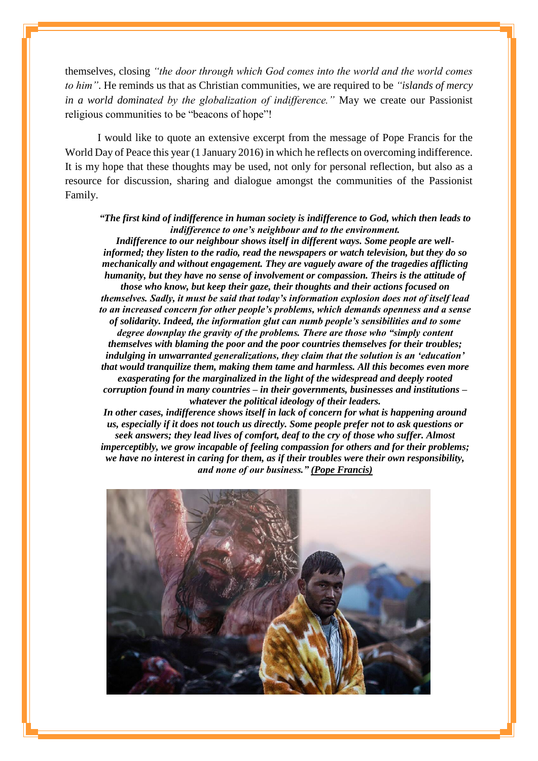themselves, closing *"the door through which God comes into the world and the world comes to him"*. He reminds us that as Christian communities, we are required to be *"islands of mercy in a world dominated by the globalization of indifference."* May we create our Passionist religious communities to be "beacons of hope"!

I would like to quote an extensive excerpt from the message of Pope Francis for the World Day of Peace this year (1 January 2016) in which he reflects on overcoming indifference. It is my hope that these thoughts may be used, not only for personal reflection, but also as a resource for discussion, sharing and dialogue amongst the communities of the Passionist Family.

## *"The first kind of indifference in human society is indifference to God, which then leads to indifference to one's neighbour and to the environment.*

*Indifference to our neighbour shows itself in different ways. Some people are wellinformed; they listen to the radio, read the newspapers or watch television, but they do so mechanically and without engagement. They are vaguely aware of the tragedies afflicting humanity, but they have no sense of involvement or compassion. Theirs is the attitude of those who know, but keep their gaze, their thoughts and their actions focused on themselves. Sadly, it must be said that today's information explosion does not of itself lead to an increased concern for other people's problems, which demands openness and a sense of solidarity. Indeed, the information glut can numb people's sensibilities and to some degree downplay the gravity of the problems. There are those who "simply content themselves with blaming the poor and the poor countries themselves for their troubles; indulging in unwarranted generalizations, they claim that the solution is an 'education' that would tranquilize them, making them tame and harmless. All this becomes even more exasperating for the marginalized in the light of the widespread and deeply rooted corruption found in many countries – in their governments, businesses and institutions – whatever the political ideology of their leaders.*

*In other cases, indifference shows itself in lack of concern for what is happening around us, especially if it does not touch us directly. Some people prefer not to ask questions or seek answers; they lead lives of comfort, deaf to the cry of those who suffer. Almost imperceptibly, we grow incapable of feeling compassion for others and for their problems; we have no interest in caring for them, as if their troubles were their own responsibility, and none of our business." (Pope Francis)*